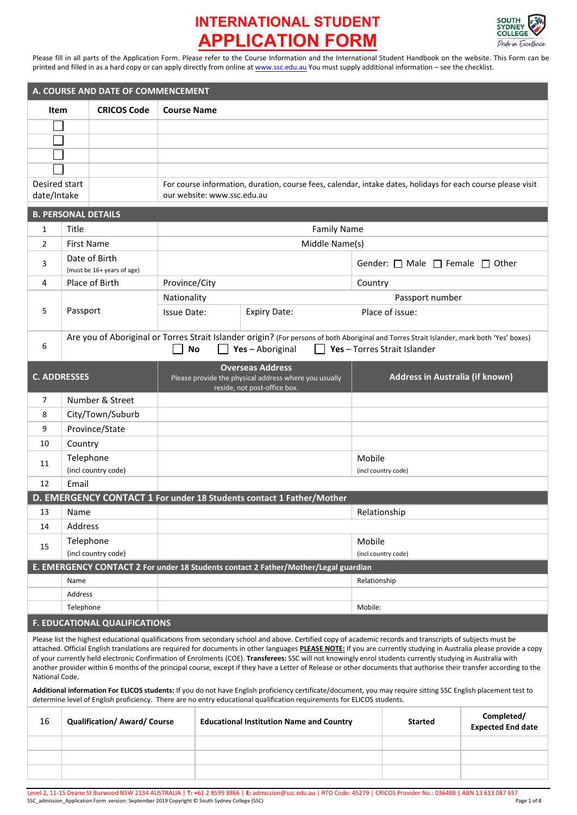

Please fill in all parts of the Application Form. Please refer to the Course Information and the International Student Handbook on the website. This Form can be printed and filled in as a hard copy or can apply directly from online a[t www.ssc.edu.au](http://www.ssc.edu.au/) You must supply additional information – see the checklist.

| A. COURSE AND DATE OF COMMENCEMENT                                                                                                                          |                                      |                            |                             |                                                                                  |                                                                                                                                                                            |
|-------------------------------------------------------------------------------------------------------------------------------------------------------------|--------------------------------------|----------------------------|-----------------------------|----------------------------------------------------------------------------------|----------------------------------------------------------------------------------------------------------------------------------------------------------------------------|
| <b>Item</b>                                                                                                                                                 |                                      | <b>CRICOS Code</b>         | <b>Course Name</b>          |                                                                                  |                                                                                                                                                                            |
|                                                                                                                                                             |                                      |                            |                             |                                                                                  |                                                                                                                                                                            |
|                                                                                                                                                             |                                      |                            |                             |                                                                                  |                                                                                                                                                                            |
|                                                                                                                                                             |                                      |                            |                             |                                                                                  |                                                                                                                                                                            |
|                                                                                                                                                             |                                      |                            |                             |                                                                                  |                                                                                                                                                                            |
| Desired start                                                                                                                                               |                                      |                            |                             |                                                                                  | For course information, duration, course fees, calendar, intake dates, holidays for each course please visit                                                               |
| date/Intake                                                                                                                                                 |                                      |                            | our website: www.ssc.edu.au |                                                                                  |                                                                                                                                                                            |
|                                                                                                                                                             |                                      | <b>B. PERSONAL DETAILS</b> |                             |                                                                                  |                                                                                                                                                                            |
| 1                                                                                                                                                           | Title                                |                            |                             | <b>Family Name</b>                                                               |                                                                                                                                                                            |
| 2                                                                                                                                                           | <b>First Name</b>                    |                            |                             | Middle Name(s)                                                                   |                                                                                                                                                                            |
|                                                                                                                                                             |                                      | Date of Birth              |                             |                                                                                  |                                                                                                                                                                            |
| 3                                                                                                                                                           |                                      | (must be 16+ years of age) |                             |                                                                                  | Gender: $\Box$ Male $\Box$ Female $\Box$ Other                                                                                                                             |
| 4                                                                                                                                                           |                                      | Place of Birth             | Province/City               |                                                                                  | Country                                                                                                                                                                    |
|                                                                                                                                                             |                                      |                            | Nationality                 |                                                                                  | Passport number                                                                                                                                                            |
| 5                                                                                                                                                           | Passport                             |                            | <b>Issue Date:</b>          | <b>Expiry Date:</b>                                                              | Place of issue:                                                                                                                                                            |
|                                                                                                                                                             |                                      |                            |                             |                                                                                  |                                                                                                                                                                            |
| 6                                                                                                                                                           |                                      |                            | <b>No</b>                   | Yes-Aboriginal                                                                   | Are you of Aboriginal or Torres Strait Islander origin? (For persons of both Aboriginal and Torres Strait Islander, mark both 'Yes' boxes)<br>Yes - Torres Strait Islander |
|                                                                                                                                                             |                                      |                            |                             |                                                                                  |                                                                                                                                                                            |
| <b>C. ADDRESSES</b>                                                                                                                                         |                                      |                            |                             | <b>Overseas Address</b><br>Please provide the physical address where you usually | Address in Australia (if known)                                                                                                                                            |
|                                                                                                                                                             |                                      |                            |                             | reside, not post-office box.                                                     |                                                                                                                                                                            |
| 7                                                                                                                                                           |                                      | Number & Street            |                             |                                                                                  |                                                                                                                                                                            |
| 8                                                                                                                                                           |                                      | City/Town/Suburb           |                             |                                                                                  |                                                                                                                                                                            |
| 9                                                                                                                                                           |                                      | Province/State             |                             |                                                                                  |                                                                                                                                                                            |
| 10                                                                                                                                                          | Country                              |                            |                             |                                                                                  |                                                                                                                                                                            |
| 11                                                                                                                                                          | Telephone                            |                            |                             |                                                                                  | Mobile                                                                                                                                                                     |
|                                                                                                                                                             |                                      | (incl country code)        |                             |                                                                                  | (incl country code)                                                                                                                                                        |
| 12                                                                                                                                                          | Email                                |                            |                             |                                                                                  |                                                                                                                                                                            |
| D. EMERGENCY CONTACT 1 For under 18 Students contact 1 Father/Mother                                                                                        |                                      |                            |                             |                                                                                  |                                                                                                                                                                            |
| 13                                                                                                                                                          | Name                                 |                            |                             |                                                                                  | Relationship                                                                                                                                                               |
| 14                                                                                                                                                          | Address                              |                            |                             |                                                                                  |                                                                                                                                                                            |
| 15                                                                                                                                                          | Telephone                            |                            |                             |                                                                                  | Mobile<br>(incl country code)                                                                                                                                              |
| (incl country code)<br>E. EMERGENCY CONTACT 2 For under 18 Students contact 2 Father/Mother/Legal guardian                                                  |                                      |                            |                             |                                                                                  |                                                                                                                                                                            |
|                                                                                                                                                             | Name                                 |                            |                             |                                                                                  | Relationship                                                                                                                                                               |
|                                                                                                                                                             | Address                              |                            |                             |                                                                                  |                                                                                                                                                                            |
|                                                                                                                                                             | Telephone                            |                            |                             |                                                                                  | Mobile:                                                                                                                                                                    |
|                                                                                                                                                             | <b>F. EDUCATIONAL QUALIFICATIONS</b> |                            |                             |                                                                                  |                                                                                                                                                                            |
| Please list the highest educational qualifications from secondary school and above. Certified copy of academic records and transcripts of subjects must be  |                                      |                            |                             |                                                                                  |                                                                                                                                                                            |
|                                                                                                                                                             |                                      |                            |                             |                                                                                  | attached. Official English translations are required for documents in other languages PLEASE NOTE: If you are currently studying in Australia please provide a copy        |
| of your currently held electronic Confirmation of Enrolments (COE). Transferees: SSC will not knowingly enrol students currently studying in Australia with |                                      |                            |                             |                                                                                  |                                                                                                                                                                            |

another provider within 6 months of the principal course, except if they have a Letter of Release or other documents that authorise their transfer according to the National Code.

**Additional information For ELICOS students:** If you do not have English proficiency certificate/document, you may require sitting SSC English placement test to determine level of English proficiency. There are no entry educational qualification requirements for ELICOS students.

| 16 | <b>Qualification/ Award/ Course</b> | <b>Educational Institution Name and Country</b> | <b>Started</b> | Completed/<br>Expected End date |
|----|-------------------------------------|-------------------------------------------------|----------------|---------------------------------|
|    |                                     |                                                 |                |                                 |
|    |                                     |                                                 |                |                                 |
|    |                                     |                                                 |                |                                 |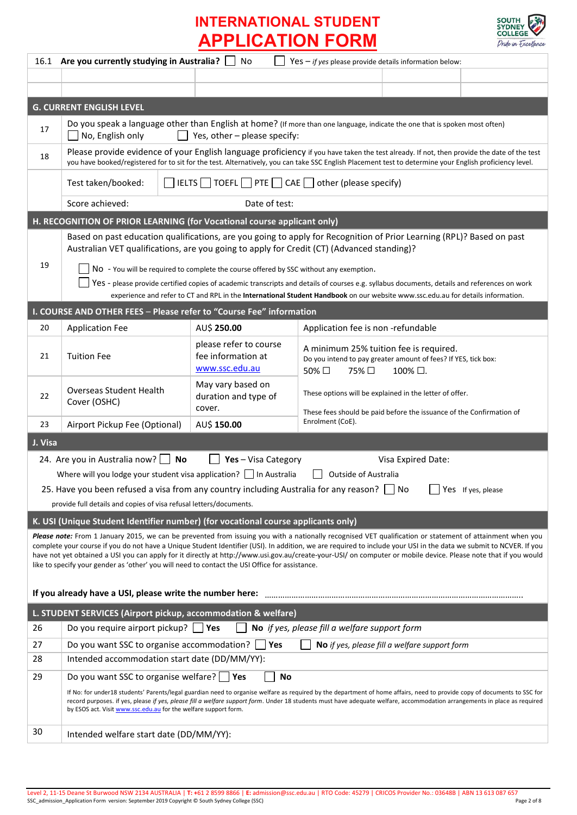

|                                                                                                                                                                                                                                                                                                                                                                                                                                                                                                                                                                                                      | 16.1 Are you currently studying in Australia?<br>No<br>Yes $-$ if yes please provide details information below:                                                                                                                                                                                                                                                                                                          |                                                                               |                                                                                                                            |                     |  |  |
|------------------------------------------------------------------------------------------------------------------------------------------------------------------------------------------------------------------------------------------------------------------------------------------------------------------------------------------------------------------------------------------------------------------------------------------------------------------------------------------------------------------------------------------------------------------------------------------------------|--------------------------------------------------------------------------------------------------------------------------------------------------------------------------------------------------------------------------------------------------------------------------------------------------------------------------------------------------------------------------------------------------------------------------|-------------------------------------------------------------------------------|----------------------------------------------------------------------------------------------------------------------------|---------------------|--|--|
|                                                                                                                                                                                                                                                                                                                                                                                                                                                                                                                                                                                                      |                                                                                                                                                                                                                                                                                                                                                                                                                          |                                                                               |                                                                                                                            |                     |  |  |
|                                                                                                                                                                                                                                                                                                                                                                                                                                                                                                                                                                                                      |                                                                                                                                                                                                                                                                                                                                                                                                                          |                                                                               |                                                                                                                            |                     |  |  |
|                                                                                                                                                                                                                                                                                                                                                                                                                                                                                                                                                                                                      | <b>G. CURRENT ENGLISH LEVEL</b>                                                                                                                                                                                                                                                                                                                                                                                          |                                                                               |                                                                                                                            |                     |  |  |
| 17                                                                                                                                                                                                                                                                                                                                                                                                                                                                                                                                                                                                   | Do you speak a language other than English at home? (If more than one language, indicate the one that is spoken most often)<br>No, English only<br>Yes, other - please specify:                                                                                                                                                                                                                                          |                                                                               |                                                                                                                            |                     |  |  |
| 18                                                                                                                                                                                                                                                                                                                                                                                                                                                                                                                                                                                                   | Please provide evidence of your English language proficiency if you have taken the test already. If not, then provide the date of the test<br>you have booked/registered for to sit for the test. Alternatively, you can take SSC English Placement test to determine your English proficiency level.                                                                                                                    |                                                                               |                                                                                                                            |                     |  |  |
|                                                                                                                                                                                                                                                                                                                                                                                                                                                                                                                                                                                                      | Test taken/booked:                                                                                                                                                                                                                                                                                                                                                                                                       | $\Box$ IELTS $\Box$ TOEFL $\Box$ PTE $\Box$ CAE $\Box$ other (please specify) |                                                                                                                            |                     |  |  |
|                                                                                                                                                                                                                                                                                                                                                                                                                                                                                                                                                                                                      | Score achieved:                                                                                                                                                                                                                                                                                                                                                                                                          | Date of test:                                                                 |                                                                                                                            |                     |  |  |
|                                                                                                                                                                                                                                                                                                                                                                                                                                                                                                                                                                                                      | H. RECOGNITION OF PRIOR LEARNING (for Vocational course applicant only)                                                                                                                                                                                                                                                                                                                                                  |                                                                               |                                                                                                                            |                     |  |  |
|                                                                                                                                                                                                                                                                                                                                                                                                                                                                                                                                                                                                      | Based on past education qualifications, are you going to apply for Recognition of Prior Learning (RPL)? Based on past<br>Australian VET qualifications, are you going to apply for Credit (CT) (Advanced standing)?                                                                                                                                                                                                      |                                                                               |                                                                                                                            |                     |  |  |
| 19                                                                                                                                                                                                                                                                                                                                                                                                                                                                                                                                                                                                   | NO - You will be required to complete the course offered by SSC without any exemption.<br>Yes - please provide certified copies of academic transcripts and details of courses e.g. syllabus documents, details and references on work<br>experience and refer to CT and RPL in the International Student Handbook on our website www.ssc.edu.au for details information.                                                |                                                                               |                                                                                                                            |                     |  |  |
|                                                                                                                                                                                                                                                                                                                                                                                                                                                                                                                                                                                                      | I. COURSE AND OTHER FEES - Please refer to "Course Fee" information                                                                                                                                                                                                                                                                                                                                                      |                                                                               |                                                                                                                            |                     |  |  |
| 20                                                                                                                                                                                                                                                                                                                                                                                                                                                                                                                                                                                                   | <b>Application Fee</b>                                                                                                                                                                                                                                                                                                                                                                                                   | AU\$ 250.00                                                                   | Application fee is non -refundable                                                                                         |                     |  |  |
| 21                                                                                                                                                                                                                                                                                                                                                                                                                                                                                                                                                                                                   | <b>Tuition Fee</b>                                                                                                                                                                                                                                                                                                                                                                                                       | please refer to course<br>fee information at<br>www.ssc.edu.au                | A minimum 25% tuition fee is required.<br>Do you intend to pay greater amount of fees? If YES, tick box:<br>50% □<br>75% □ | $100\%$ $\square$ . |  |  |
| 22                                                                                                                                                                                                                                                                                                                                                                                                                                                                                                                                                                                                   | <b>Overseas Student Health</b><br>Cover (OSHC)                                                                                                                                                                                                                                                                                                                                                                           | May vary based on<br>duration and type of<br>cover.                           | These options will be explained in the letter of offer.                                                                    |                     |  |  |
| 23                                                                                                                                                                                                                                                                                                                                                                                                                                                                                                                                                                                                   | Airport Pickup Fee (Optional)                                                                                                                                                                                                                                                                                                                                                                                            | AU\$ 150.00                                                                   | These fees should be paid before the issuance of the Confirmation of<br>Enrolment (CoE).                                   |                     |  |  |
| J. Visa                                                                                                                                                                                                                                                                                                                                                                                                                                                                                                                                                                                              |                                                                                                                                                                                                                                                                                                                                                                                                                          |                                                                               |                                                                                                                            |                     |  |  |
|                                                                                                                                                                                                                                                                                                                                                                                                                                                                                                                                                                                                      | 24. Are you in Australia now?<br>No                                                                                                                                                                                                                                                                                                                                                                                      | Yes-Visa Category                                                             |                                                                                                                            | Visa Expired Date:  |  |  |
|                                                                                                                                                                                                                                                                                                                                                                                                                                                                                                                                                                                                      | Where will you lodge your student visa application? $\Box$ In Australia                                                                                                                                                                                                                                                                                                                                                  |                                                                               | Outside of Australia                                                                                                       |                     |  |  |
| 25. Have you been refused a visa from any country including Australia for any reason? $\Box$ No<br>Yes If yes, please                                                                                                                                                                                                                                                                                                                                                                                                                                                                                |                                                                                                                                                                                                                                                                                                                                                                                                                          |                                                                               |                                                                                                                            |                     |  |  |
| provide full details and copies of visa refusal letters/documents.                                                                                                                                                                                                                                                                                                                                                                                                                                                                                                                                   |                                                                                                                                                                                                                                                                                                                                                                                                                          |                                                                               |                                                                                                                            |                     |  |  |
|                                                                                                                                                                                                                                                                                                                                                                                                                                                                                                                                                                                                      | K. USI (Unique Student Identifier number) (for vocational course applicants only)                                                                                                                                                                                                                                                                                                                                        |                                                                               |                                                                                                                            |                     |  |  |
| Please note: From 1 January 2015, we can be prevented from issuing you with a nationally recognised VET qualification or statement of attainment when you<br>complete your course if you do not have a Unique Student Identifier (USI). In addition, we are required to include your USI in the data we submit to NCVER. If you<br>have not yet obtained a USI you can apply for it directly at http://www.usi.gov.au/create-your-USI/ on computer or mobile device. Please note that if you would<br>like to specify your gender as 'other' you will need to contact the USI Office for assistance. |                                                                                                                                                                                                                                                                                                                                                                                                                          |                                                                               |                                                                                                                            |                     |  |  |
| If you already have a USI, please write the number here:                                                                                                                                                                                                                                                                                                                                                                                                                                                                                                                                             |                                                                                                                                                                                                                                                                                                                                                                                                                          |                                                                               |                                                                                                                            |                     |  |  |
| L. STUDENT SERVICES (Airport pickup, accommodation & welfare)                                                                                                                                                                                                                                                                                                                                                                                                                                                                                                                                        |                                                                                                                                                                                                                                                                                                                                                                                                                          |                                                                               |                                                                                                                            |                     |  |  |
| 26                                                                                                                                                                                                                                                                                                                                                                                                                                                                                                                                                                                                   | No if yes, please fill a welfare support form<br>Do you require airport pickup?<br>Yes                                                                                                                                                                                                                                                                                                                                   |                                                                               |                                                                                                                            |                     |  |  |
| 27                                                                                                                                                                                                                                                                                                                                                                                                                                                                                                                                                                                                   | Yes<br>Do you want SSC to organise accommodation? [<br>No if yes, please fill a welfare support form                                                                                                                                                                                                                                                                                                                     |                                                                               |                                                                                                                            |                     |  |  |
| 28                                                                                                                                                                                                                                                                                                                                                                                                                                                                                                                                                                                                   | Intended accommodation start date (DD/MM/YY):                                                                                                                                                                                                                                                                                                                                                                            |                                                                               |                                                                                                                            |                     |  |  |
| 29                                                                                                                                                                                                                                                                                                                                                                                                                                                                                                                                                                                                   | Do you want SSC to organise welfare? [                                                                                                                                                                                                                                                                                                                                                                                   | <b>No</b><br>  Yes                                                            |                                                                                                                            |                     |  |  |
|                                                                                                                                                                                                                                                                                                                                                                                                                                                                                                                                                                                                      | If No: for under18 students' Parents/legal guardian need to organise welfare as required by the department of home affairs, need to provide copy of documents to SSC for<br>record purposes. if yes, please if yes, please fill a welfare support form. Under 18 students must have adequate welfare, accommodation arrangements in place as required<br>by ESOS act. Visit www.ssc.edu.au for the welfare support form. |                                                                               |                                                                                                                            |                     |  |  |
| 30                                                                                                                                                                                                                                                                                                                                                                                                                                                                                                                                                                                                   | Intended welfare start date (DD/MM/YY):                                                                                                                                                                                                                                                                                                                                                                                  |                                                                               |                                                                                                                            |                     |  |  |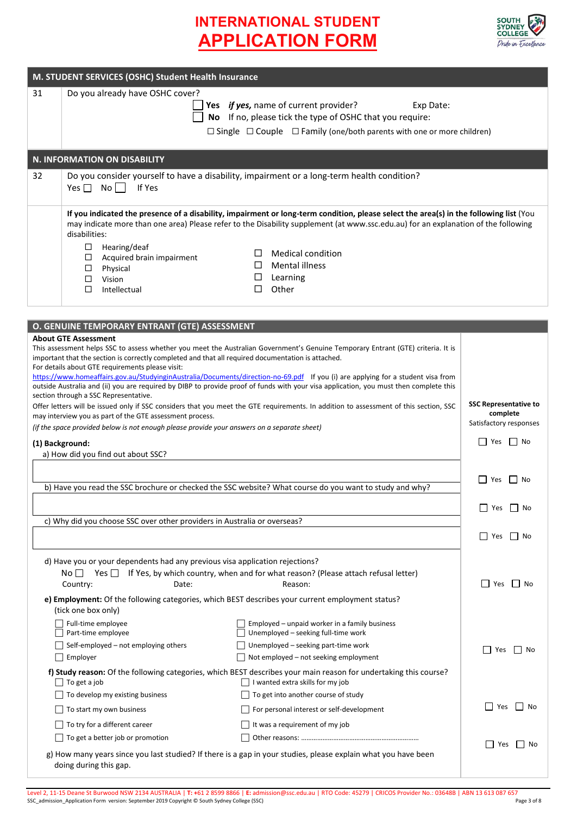

| M. STUDENT SERVICES (OSHC) Student Health Insurance                                                                                                                                                                                                                                                     |                                                                                                                                                                                                                                                                                                                                                                                                                                                                                                                                                                                                                                                                                                  |                      |  |  |
|---------------------------------------------------------------------------------------------------------------------------------------------------------------------------------------------------------------------------------------------------------------------------------------------------------|--------------------------------------------------------------------------------------------------------------------------------------------------------------------------------------------------------------------------------------------------------------------------------------------------------------------------------------------------------------------------------------------------------------------------------------------------------------------------------------------------------------------------------------------------------------------------------------------------------------------------------------------------------------------------------------------------|----------------------|--|--|
| 31                                                                                                                                                                                                                                                                                                      | Do you already have OSHC cover?<br>Yes if yes, name of current provider?<br>Exp Date:<br>No If no, please tick the type of OSHC that you require:<br>$\Box$ Single $\Box$ Couple $\Box$ Family (one/both parents with one or more children)                                                                                                                                                                                                                                                                                                                                                                                                                                                      |                      |  |  |
|                                                                                                                                                                                                                                                                                                         | N. INFORMATION ON DISABILITY                                                                                                                                                                                                                                                                                                                                                                                                                                                                                                                                                                                                                                                                     |                      |  |  |
| 32                                                                                                                                                                                                                                                                                                      | Do you consider yourself to have a disability, impairment or a long-term health condition?<br>$Yes \Box No \Box$<br>If Yes                                                                                                                                                                                                                                                                                                                                                                                                                                                                                                                                                                       |                      |  |  |
|                                                                                                                                                                                                                                                                                                         | If you indicated the presence of a disability, impairment or long-term condition, please select the area(s) in the following list (You<br>may indicate more than one area) Please refer to the Disability supplement (at www.ssc.edu.au) for an explanation of the following                                                                                                                                                                                                                                                                                                                                                                                                                     |                      |  |  |
|                                                                                                                                                                                                                                                                                                         |                                                                                                                                                                                                                                                                                                                                                                                                                                                                                                                                                                                                                                                                                                  |                      |  |  |
|                                                                                                                                                                                                                                                                                                         | O. GENUINE TEMPORARY ENTRANT (GTE) ASSESSMENT<br><b>About GTE Assessment</b><br>This assessment helps SSC to assess whether you meet the Australian Government's Genuine Temporary Entrant (GTE) criteria. It is<br>important that the section is correctly completed and that all required documentation is attached.<br>For details about GTE requirements please visit:<br>https://www.homeaffairs.gov.au/StudyinginAustralia/Documents/direction-no-69.pdf If you (i) are applying for a student visa from<br>outside Australia and (ii) you are required by DIBP to provide proof of funds with your visa application, you must then complete this<br>section through a SSC Representative. |                      |  |  |
| Offer letters will be issued only if SSC considers that you meet the GTE requirements. In addition to assessment of this section, SSC<br>may interview you as part of the GTE assessment process.<br>(if the space provided below is not enough please provide your answers on a separate sheet)        | <b>SSC Representative to</b><br>complete<br>Satisfactory responses                                                                                                                                                                                                                                                                                                                                                                                                                                                                                                                                                                                                                               |                      |  |  |
| (1) Background:<br>a) How did you find out about SSC?                                                                                                                                                                                                                                                   | $\Box$ Yes $\Box$ No                                                                                                                                                                                                                                                                                                                                                                                                                                                                                                                                                                                                                                                                             |                      |  |  |
|                                                                                                                                                                                                                                                                                                         | b) Have you read the SSC brochure or checked the SSC website? What course do you want to study and why?                                                                                                                                                                                                                                                                                                                                                                                                                                                                                                                                                                                          | $\Box$ Yes $\Box$ No |  |  |
|                                                                                                                                                                                                                                                                                                         |                                                                                                                                                                                                                                                                                                                                                                                                                                                                                                                                                                                                                                                                                                  | $\Box$ Yes $\Box$ No |  |  |
|                                                                                                                                                                                                                                                                                                         | c) Why did you choose SSC over other providers in Australia or overseas?                                                                                                                                                                                                                                                                                                                                                                                                                                                                                                                                                                                                                         | Nes<br>II No         |  |  |
| d) Have you or your dependents had any previous visa application rejections?<br>No $\Box$ Yes $\Box$ If Yes, by which country, when and for what reason? (Please attach refusal letter)<br>Country:<br>e) Employment: Of the following categories, which BEST describes your current employment status? | l   Yes<br>l   No                                                                                                                                                                                                                                                                                                                                                                                                                                                                                                                                                                                                                                                                                |                      |  |  |
|                                                                                                                                                                                                                                                                                                         | (tick one box only)<br>Full-time employee<br>Employed - unpaid worker in a family business<br>Unemployed - seeking full-time work<br>Part-time employee<br>$\Box$ Self-employed – not employing others<br>$\Box$ Unemployed – seeking part-time work<br>Employer<br>Not employed - not seeking employment                                                                                                                                                                                                                                                                                                                                                                                        | Yes<br>l I No        |  |  |
|                                                                                                                                                                                                                                                                                                         | f) Study reason: Of the following categories, which BEST describes your main reason for undertaking this course?<br>$\Box$ To get a job<br>I wanted extra skills for my job<br>To develop my existing business<br>To get into another course of study<br>For personal interest or self-development<br>  To start my own business<br>To try for a different career<br>It was a requirement of my job                                                                                                                                                                                                                                                                                              | Yes<br>No            |  |  |
| g) How many years since you last studied? If there is a gap in your studies, please explain what you have been<br>doing during this gap.                                                                                                                                                                | Yes<br>No No                                                                                                                                                                                                                                                                                                                                                                                                                                                                                                                                                                                                                                                                                     |                      |  |  |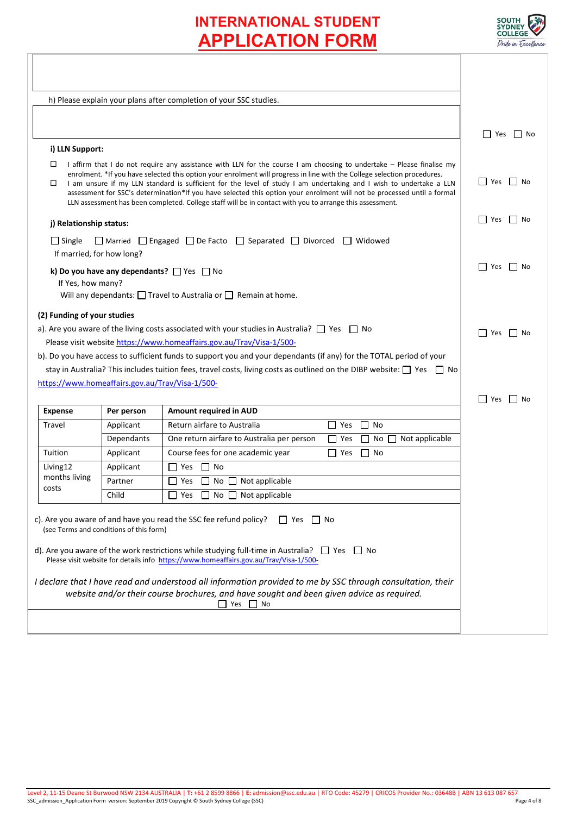

|                                                                                                                                                                                                                                                                                                                                                                                                                                                                                                                                                                                                                          |                                         | h) Please explain your plans after completion of your SSC studies.                                                                                                                                                                                                                        |                      |  |
|--------------------------------------------------------------------------------------------------------------------------------------------------------------------------------------------------------------------------------------------------------------------------------------------------------------------------------------------------------------------------------------------------------------------------------------------------------------------------------------------------------------------------------------------------------------------------------------------------------------------------|-----------------------------------------|-------------------------------------------------------------------------------------------------------------------------------------------------------------------------------------------------------------------------------------------------------------------------------------------|----------------------|--|
|                                                                                                                                                                                                                                                                                                                                                                                                                                                                                                                                                                                                                          |                                         |                                                                                                                                                                                                                                                                                           |                      |  |
|                                                                                                                                                                                                                                                                                                                                                                                                                                                                                                                                                                                                                          |                                         |                                                                                                                                                                                                                                                                                           | Yes  No              |  |
| i) LLN Support:                                                                                                                                                                                                                                                                                                                                                                                                                                                                                                                                                                                                          |                                         |                                                                                                                                                                                                                                                                                           |                      |  |
| I affirm that I do not require any assistance with LLN for the course I am choosing to undertake - Please finalise my<br>□<br>enrolment. *If you have selected this option your enrolment will progress in line with the College selection procedures.<br>I am unsure if my LLN standard is sufficient for the level of study I am undertaking and I wish to undertake a LLN<br>□<br>assessment for SSC's determination*If you have selected this option your enrolment will not be processed until a formal<br>LLN assessment has been completed. College staff will be in contact with you to arrange this assessment. | Yes    No                               |                                                                                                                                                                                                                                                                                           |                      |  |
| j) Relationship status:                                                                                                                                                                                                                                                                                                                                                                                                                                                                                                                                                                                                  |                                         |                                                                                                                                                                                                                                                                                           | Yes<br>$\Gamma$   No |  |
| $\Box$ Single<br>If married, for how long?                                                                                                                                                                                                                                                                                                                                                                                                                                                                                                                                                                               |                                         | $\Box$ Married $\Box$ Engaged $\Box$ De Facto $\Box$ Separated $\Box$ Divorced $\Box$ Widowed                                                                                                                                                                                             |                      |  |
| If Yes, how many?                                                                                                                                                                                                                                                                                                                                                                                                                                                                                                                                                                                                        |                                         | k) Do you have any dependants? $\Box$ Yes $\Box$ No<br>Will any dependants: $\Box$ Travel to Australia or $\Box$ Remain at home.                                                                                                                                                          | Yes  No              |  |
| (2) Funding of your studies                                                                                                                                                                                                                                                                                                                                                                                                                                                                                                                                                                                              |                                         |                                                                                                                                                                                                                                                                                           |                      |  |
| a). Are you aware of the living costs associated with your studies in Australia? $\Box$ Yes $\Box$ No                                                                                                                                                                                                                                                                                                                                                                                                                                                                                                                    |                                         |                                                                                                                                                                                                                                                                                           | $\Box$ Yes $\Box$ No |  |
| Please visit website https://www.homeaffairs.gov.au/Trav/Visa-1/500-                                                                                                                                                                                                                                                                                                                                                                                                                                                                                                                                                     |                                         |                                                                                                                                                                                                                                                                                           |                      |  |
|                                                                                                                                                                                                                                                                                                                                                                                                                                                                                                                                                                                                                          |                                         | b). Do you have access to sufficient funds to support you and your dependants (if any) for the TOTAL period of your                                                                                                                                                                       |                      |  |
|                                                                                                                                                                                                                                                                                                                                                                                                                                                                                                                                                                                                                          |                                         | stay in Australia? This includes tuition fees, travel costs, living costs as outlined on the DIBP website: $\Box$ Yes $\Box$ No                                                                                                                                                           |                      |  |
| https://www.homeaffairs.gov.au/Trav/Visa-1/500-                                                                                                                                                                                                                                                                                                                                                                                                                                                                                                                                                                          |                                         |                                                                                                                                                                                                                                                                                           |                      |  |
|                                                                                                                                                                                                                                                                                                                                                                                                                                                                                                                                                                                                                          |                                         |                                                                                                                                                                                                                                                                                           | Yes  No              |  |
| <b>Expense</b>                                                                                                                                                                                                                                                                                                                                                                                                                                                                                                                                                                                                           | Per person                              | Amount required in AUD                                                                                                                                                                                                                                                                    |                      |  |
| Travel                                                                                                                                                                                                                                                                                                                                                                                                                                                                                                                                                                                                                   | Applicant                               | Return airfare to Australia<br>l Yes<br>    No                                                                                                                                                                                                                                            |                      |  |
|                                                                                                                                                                                                                                                                                                                                                                                                                                                                                                                                                                                                                          | Dependants                              | One return airfare to Australia per person<br>No $\Box$ Not applicable<br>П<br>Yes<br>$\Box$                                                                                                                                                                                              |                      |  |
| Tuition                                                                                                                                                                                                                                                                                                                                                                                                                                                                                                                                                                                                                  | Applicant                               | Course fees for one academic year<br>Yes<br>∣ No<br>$\mathsf{I}$                                                                                                                                                                                                                          |                      |  |
| Living12                                                                                                                                                                                                                                                                                                                                                                                                                                                                                                                                                                                                                 | Applicant                               | $\Box$ Yes<br>No<br>$\perp$                                                                                                                                                                                                                                                               |                      |  |
| months living<br>costs                                                                                                                                                                                                                                                                                                                                                                                                                                                                                                                                                                                                   | Partner                                 | $\Box$ Yes<br>$\Box$ No $\Box$ Not applicable                                                                                                                                                                                                                                             |                      |  |
| Child<br>$\Box$ No $\Box$ Not applicable<br>Yes<br>$\perp$                                                                                                                                                                                                                                                                                                                                                                                                                                                                                                                                                               |                                         |                                                                                                                                                                                                                                                                                           |                      |  |
|                                                                                                                                                                                                                                                                                                                                                                                                                                                                                                                                                                                                                          | (see Terms and conditions of this form) | c). Are you aware of and have you read the SSC fee refund policy?<br>l l Yes<br>l I No<br>d). Are you aware of the work restrictions while studying full-time in Australia? $\Box$ Yes $\Box$ No<br>Please visit website for details info https://www.homeaffairs.gov.au/Trav/Visa-1/500- |                      |  |
|                                                                                                                                                                                                                                                                                                                                                                                                                                                                                                                                                                                                                          |                                         | I declare that I have read and understood all information provided to me by SSC through consultation, their<br>website and/or their course brochures, and have sought and been given advice as required.<br>Yes No                                                                        |                      |  |
|                                                                                                                                                                                                                                                                                                                                                                                                                                                                                                                                                                                                                          |                                         |                                                                                                                                                                                                                                                                                           |                      |  |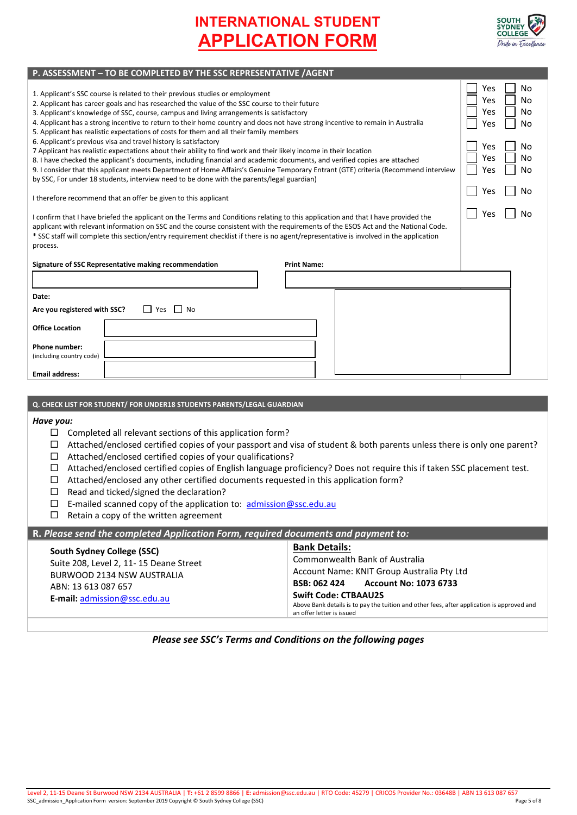

| P. ASSESSIVIENT - TO DE COIVIPELTED DT THE SSC NEPNESENTATIVE / AGENT                                                                                                                                                                                                                                                                                                                                                                                                                                                                                                 |                                                         |
|-----------------------------------------------------------------------------------------------------------------------------------------------------------------------------------------------------------------------------------------------------------------------------------------------------------------------------------------------------------------------------------------------------------------------------------------------------------------------------------------------------------------------------------------------------------------------|---------------------------------------------------------|
| 1. Applicant's SSC course is related to their previous studies or employment<br>2. Applicant has career goals and has researched the value of the SSC course to their future<br>3. Applicant's knowledge of SSC, course, campus and living arrangements is satisfactory<br>4. Applicant has a strong incentive to return to their home country and does not have strong incentive to remain in Australia<br>5. Applicant has realistic expectations of costs for them and all their family members<br>6. Applicant's previous visa and travel history is satisfactory | Yes<br>No<br>Yes<br>NΩ<br>Yes<br>No<br>Yes<br><b>No</b> |
| 7 Applicant has realistic expectations about their ability to find work and their likely income in their location<br>8. I have checked the applicant's documents, including financial and academic documents, and verified copies are attached<br>9. I consider that this applicant meets Department of Home Affairs's Genuine Temporary Entrant (GTE) criteria (Recommend interview                                                                                                                                                                                  | Yes<br>No<br>Yes<br>No<br>No<br>Yes                     |
| by SSC, For under 18 students, interview need to be done with the parents/legal guardian)                                                                                                                                                                                                                                                                                                                                                                                                                                                                             |                                                         |
| I therefore recommend that an offer be given to this applicant                                                                                                                                                                                                                                                                                                                                                                                                                                                                                                        | No<br>Yes                                               |
| I confirm that I have briefed the applicant on the Terms and Conditions relating to this application and that I have provided the<br>applicant with relevant information on SSC and the course consistent with the requirements of the ESOS Act and the National Code.<br>* SSC staff will complete this section/entry requirement checklist if there is no agent/representative is involved in the application<br>process.                                                                                                                                           | No<br>Yes                                               |
| Signature of SSC Representative making recommendation<br><b>Print Name:</b>                                                                                                                                                                                                                                                                                                                                                                                                                                                                                           |                                                         |
|                                                                                                                                                                                                                                                                                                                                                                                                                                                                                                                                                                       |                                                         |
| Date:                                                                                                                                                                                                                                                                                                                                                                                                                                                                                                                                                                 |                                                         |
| Are you registered with SSC?<br>$\Box$ No<br>Yes<br>$\mathbf{L}$                                                                                                                                                                                                                                                                                                                                                                                                                                                                                                      |                                                         |
| <b>Office Location</b>                                                                                                                                                                                                                                                                                                                                                                                                                                                                                                                                                |                                                         |
| Phone number:<br>(including country code)                                                                                                                                                                                                                                                                                                                                                                                                                                                                                                                             |                                                         |
| <b>Email address:</b>                                                                                                                                                                                                                                                                                                                                                                                                                                                                                                                                                 |                                                         |
|                                                                                                                                                                                                                                                                                                                                                                                                                                                                                                                                                                       |                                                         |
| Q. CHECK LIST FOR STUDENT/ FOR UNDER18 STUDENTS PARENTS/LEGAL GUARDIAN                                                                                                                                                                                                                                                                                                                                                                                                                                                                                                |                                                         |

## *Have you:*

 $\square$  Completed all relevant sections of this application form?

**P. ASSESSMENT – TO BE COMPLETED BY THE SSC REPRESENTATIVE /AGENT**

- Attached/enclosed certified copies of your passport and visa of student & both parents unless there is only one parent?
- $\Box$  Attached/enclosed certified copies of your qualifications?
- Attached/enclosed certified copies of English language proficiency? Does not require this if taken SSC placement test.
- $\Box$  Attached/enclosed any other certified documents requested in this application form?
- $\Box$  Read and ticked/signed the declaration?
- $\Box$  E-mailed scanned copy of the application to:  $\frac{\text{admission@ssc.edu.au}}{\text{admission@ssc.edu.au}}$
- $\Box$  Retain a copy of the written agreement

## **R.** *Please send the completed Application Form, required documents and payment to:*

## *Please see SSC's Terms and Conditions on the following pages*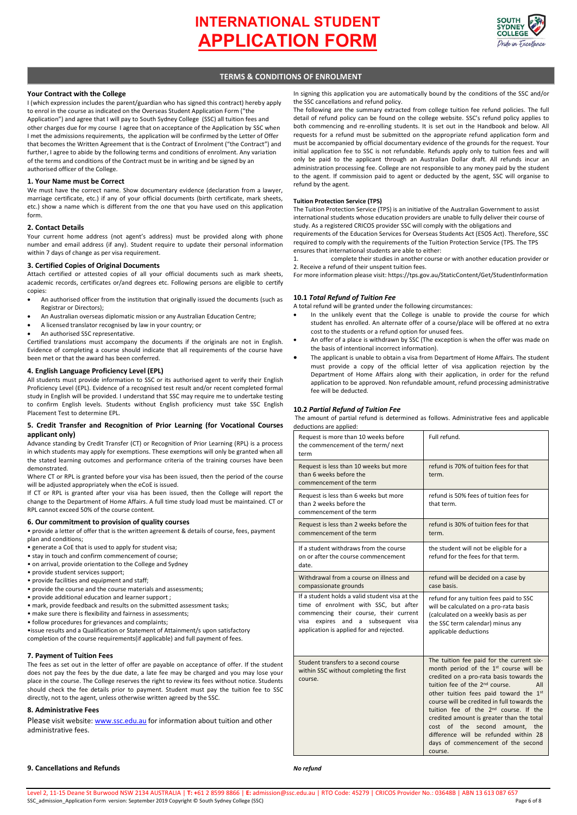

## **TERMS & CONDITIONS OF ENROLMENT**

### **Your Contract with the College**

I (which expression includes the parent/guardian who has signed this contract) hereby apply to enrol in the course as indicated on the Overseas Student Application Form ("the Application") and agree that I will pay to South Sydney College (SSC) all tuition fees and other charges due for my course I agree that on acceptance of the Application by SSC when I met the admissions requirements, the application will be confirmed by the Letter of Offer that becomes the Written Agreement that is the Contract of Enrolment ("the Contract") and further, I agree to abide by the following terms and conditions of enrolment. Any variation of the terms and conditions of the Contract must be in writing and be signed by an authorised officer of the College.

### **1. Your Name must be Correct**

We must have the correct name. Show documentary evidence (declaration from a lawyer, marriage certificate, etc.) if any of your official documents (birth certificate, mark sheets, etc.) show a name which is different from the one that you have used on this application form.

### **2. Contact Details**

Your current home address (not agent's address) must be provided along with phone number and email address (if any). Student require to update their personal information within 7 days of change as per visa requirement.

#### **3. Certified Copies of Original Documents**

Attach certified or attested copies of all your official documents such as mark sheets, academic records, certificates or/and degrees etc. Following persons are eligible to certify copies:

- An authorised officer from the institution that originally issued the documents (such as Registrar or Directors);
- An Australian overseas diplomatic mission or any Australian Education Centre;
- A licensed translator recognised by law in your country; or
- An authorised SSC representative.

Certified translations must accompany the documents if the originals are not in English. Evidence of completing a course should indicate that all requirements of the course have been met or that the award has been conferred.

### **4. English Language Proficiency Level (EPL)**

All students must provide information to SSC or its authorised agent to verify their English Proficiency Level (EPL). Evidence of a recognised test result and/or recent completed formal study in English will be provided. I understand that SSC may require me to undertake testing to confirm English levels. Students without English proficiency must take SSC English Placement Test to determine EPL.

#### **5. Credit Transfer and Recognition of Prior Learning (for Vocational Courses applicant only)**

Advance standing by Credit Transfer (CT) or Recognition of Prior Learning (RPL) is a process in which students may apply for exemptions. These exemptions will only be granted when all the stated learning outcomes and performance criteria of the training courses have been demonstrated.

Where CT or RPL is granted before your visa has been issued, then the period of the course will be adjusted appropriately when the eCoE is issued.

If CT or RPL is granted after your visa has been issued, then the College will report the change to the Department of Home Affairs. A full time study load must be maintained. CT or RPL cannot exceed 50% of the course content.

## **6. Our commitment to provision of quality courses**

• provide a letter of offer that is the written agreement & details of course, fees, payment plan and conditions;

• generate a CoE that is used to apply for student visa;

- stay in touch and confirm commencement of course;
- on arrival, provide orientation to the College and Sydney
- provide student services support; • provide facilities and equipment and staff;
- provide the course and the course materials and assessments;
- provide additional education and learner support ;
- mark, provide feedback and results on the submitted assessment tasks;
- make sure there is flexibility and fairness in assessments;
- follow procedures for grievances and complaints;

•issue results and a Qualification or Statement of Attainment/s upon satisfactory completion of the course requirements(if applicable) and full payment of fees.

## **7. Payment of Tuition Fees**

The fees as set out in the letter of offer are payable on acceptance of offer. If the student does not pay the fees by the due date, a late fee may be charged and you may lose your place in the course. The College reserves the right to review its fees without notice. Students should check the fee details prior to payment. Student must pay the tuition fee to SSC directly, not to the agent, unless otherwise written agreed by the SSC.

## **8. Administrative Fees**

Please visit website[: www.ssc.edu.au f](http://www.ssc.edu.au/)or information about tuition and other administrative fees.

In signing this application you are automatically bound by the conditions of the SSC and/or the SSC cancellations and refund policy.

The following are the summary extracted from college tuition fee refund policies. The full detail of refund policy can be found on the college website. SSC's refund policy applies to both commencing and re-enrolling students. It is set out in the Handbook and below. All requests for a refund must be submitted on the appropriate refund application form and must be accompanied by official documentary evidence of the grounds for the request. Your initial application fee to SSC is not refundable. Refunds apply only to tuition fees and will only be paid to the applicant through an Australian Dollar draft. All refunds incur an administration processing fee. College are not responsible to any money paid by the student to the agent. If commission paid to agent or deducted by the agent, SSC will organise to refund by the agent.

### **Tuition Protection Service (TPS)**

The Tuition Protection Service (TPS) is an initiative of the Australian Government to assist international students whose education providers are unable to fully deliver their course of study. As a registered CRICOS provider SSC will comply with the obligations and

requirements of the Education Services for Overseas Students Act (ESOS Act). Therefore, SSC required to comply with the requirements of the Tuition Protection Service (TPS. The TPS ensures that international students are able to either:

1. complete their studies in another course or with another education provider or 2. Receive a refund of their unspent tuition fees.

For more information please visit: https://tps.gov.au/StaticContent/Get/StudentInformation

### **10.1** *Total Refund of Tuition Fee*

A total refund will be granted under the following circumstances:

- In the unlikely event that the College is unable to provide the course for which student has enrolled. An alternate offer of a course/place will be offered at no extra cost to the students or a refund option for unused fees.
- An offer of a place is withdrawn by SSC (The exception is when the offer was made on the basis of intentional incorrect information).
- The applicant is unable to obtain a visa from Department of Home Affairs. The student must provide a copy of the official letter of visa application rejection by the Department of Home Affairs along with their application, in order for the refund application to be approved. Non refundable amount, refund processing administrative fee will be deducted.

#### **10.2** *Partial Refund of Tuition Fee*

 The amount of partial refund is determined as follows. Administrative fees and applicable deductions are applied:

| deductions are applied.                                                                                                                                                                                                |                                                                                                                                                                                                                                                                                                                                                                                                                                                                                                                               |
|------------------------------------------------------------------------------------------------------------------------------------------------------------------------------------------------------------------------|-------------------------------------------------------------------------------------------------------------------------------------------------------------------------------------------------------------------------------------------------------------------------------------------------------------------------------------------------------------------------------------------------------------------------------------------------------------------------------------------------------------------------------|
| Request is more than 10 weeks before<br>the commencement of the term/next<br>term                                                                                                                                      | Full refund.                                                                                                                                                                                                                                                                                                                                                                                                                                                                                                                  |
| Request is less than 10 weeks but more<br>than 6 weeks before the<br>commencement of the term                                                                                                                          | refund is 70% of tuition fees for that<br>term.                                                                                                                                                                                                                                                                                                                                                                                                                                                                               |
| Request is less than 6 weeks but more<br>than 2 weeks before the<br>commencement of the term                                                                                                                           | refund is 50% fees of tuition fees for<br>that term.                                                                                                                                                                                                                                                                                                                                                                                                                                                                          |
| Request is less than 2 weeks before the<br>commencement of the term                                                                                                                                                    | refund is 30% of tuition fees for that<br>term.                                                                                                                                                                                                                                                                                                                                                                                                                                                                               |
| If a student withdraws from the course<br>on or after the course commencement<br>date.                                                                                                                                 | the student will not be eligible for a<br>refund for the fees for that term.                                                                                                                                                                                                                                                                                                                                                                                                                                                  |
| Withdrawal from a course on illness and<br>compassionate grounds                                                                                                                                                       | refund will be decided on a case by<br>case basis.                                                                                                                                                                                                                                                                                                                                                                                                                                                                            |
| If a student holds a valid student visa at the<br>time of enrolment with SSC, but after<br>commencing their course, their current<br>expires and a subsequent visa<br>visa<br>application is applied for and rejected. | refund for any tuition fees paid to SSC<br>will be calculated on a pro-rata basis<br>(calculated on a weekly basis as per<br>the SSC term calendar) minus any<br>applicable deductions                                                                                                                                                                                                                                                                                                                                        |
| Student transfers to a second course<br>within SSC without completing the first<br>course.                                                                                                                             | The tuition fee paid for the current six-<br>month period of the 1 <sup>st</sup> course will be<br>credited on a pro-rata basis towards the<br>tuition fee of the 2 <sup>nd</sup> course.<br>All<br>other tuition fees paid toward the 1st<br>course will be credited in full towards the<br>tuition fee of the 2 <sup>nd</sup> course. If the<br>credited amount is greater than the total<br>cost of the<br>second<br>amount, the<br>difference will be refunded within 28<br>days of commencement of the second<br>course. |

## **9. Cancellations and Refunds**

*No refund*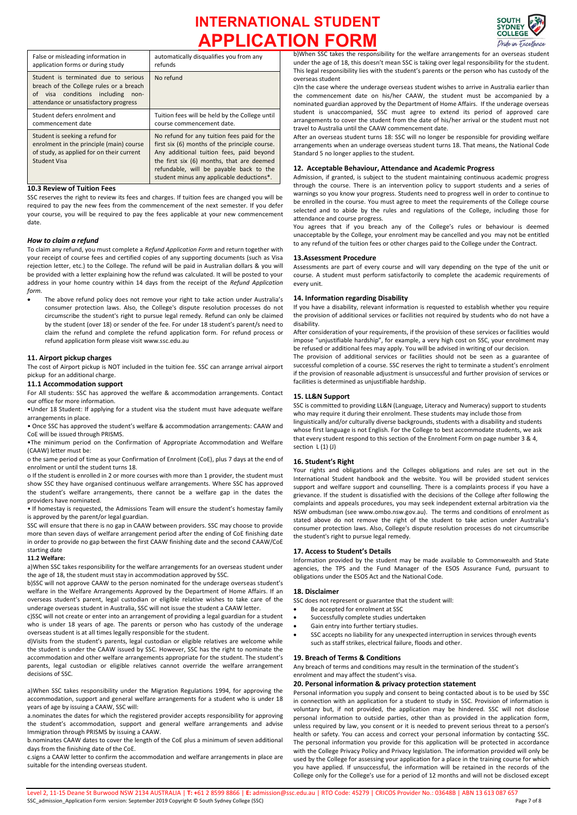

| False or misleading information in                                                                                                                               | automatically disqualifies you from any                                                                                                                                                                                                                                       |
|------------------------------------------------------------------------------------------------------------------------------------------------------------------|-------------------------------------------------------------------------------------------------------------------------------------------------------------------------------------------------------------------------------------------------------------------------------|
| application forms or during study                                                                                                                                | refunds                                                                                                                                                                                                                                                                       |
| Student is terminated due to serious<br>breach of the College rules or a breach<br>of visa conditions including<br>non-<br>attendance or unsatisfactory progress | No refund                                                                                                                                                                                                                                                                     |
| Student defers enrolment and                                                                                                                                     | Tuition fees will be held by the College until                                                                                                                                                                                                                                |
| commencement date                                                                                                                                                | course commencement date.                                                                                                                                                                                                                                                     |
| Student is seeking a refund for<br>enrolment in the principle (main) course<br>of study, as applied for on their current<br><b>Student Visa</b>                  | No refund for any tuition fees paid for the<br>first six (6) months of the principle course.<br>Any additional tuition fees, paid beyond<br>the first six (6) months, that are deemed<br>refundable, will be payable back to the<br>student minus any applicable deductions*. |

### **10.3 Review of Tuition Fees**

SSC reserves the right to review its fees and charges. If tuition fees are changed you will be required to pay the new fees from the commencement of the next semester. If you defer your course, you will be required to pay the fees applicable at your new commencement date.

### *How to claim a refund*

To claim any refund, you must complete a *Refund Application Form* and return together with your receipt of course fees and certified copies of any supporting documents (such as Visa rejection letter, etc.) to the College. The refund will be paid in Australian dollars & you will be provided with a letter explaining how the refund was calculated. It will be posted to your address in your home country within 14 days from the receipt of the *Refund Application form.* 

• The above refund policy does not remove your right to take action under Australia's consumer protection laws. Also, the College's dispute resolution processes do not circumscribe the student's right to pursue legal remedy. Refund can only be claimed by the student (over 18) or sender of the fee. For under 18 student's parent/s need to claim the refund and complete the refund application form. For refund process or refund application form please visit www.ssc.edu.au

### **11. Airport pickup charges**

The cost of Airport pickup is NOT included in the tuition fee. SSC can arrange arrival airport pickup for an additional charge.

#### **11.1 Accommodation support**

For All students: SSC has approved the welfare & accommodation arrangements. Contact our office for more information.

•Under 18 Student: If applying for a student visa the student must have adequate welfare arrangements in place.

• Once SSC has approved the student's welfare & accommodation arrangements: CAAW and CoE will be issued through PRISMS.

•The minimum period on the Confirmation of Appropriate Accommodation and Welfare (CAAW) letter must be:

o the same period of time as your Confirmation of Enrolment (CoE), plus 7 days at the end of enrolment or until the student turns 18.

o If the student is enrolled in 2 or more courses with more than 1 provider, the student must show SSC they have organised continuous welfare arrangements. Where SSC has approved the student's welfare arrangements, there cannot be a welfare gap in the dates the providers have nominated.

• If homestay is requested, the Admissions Team will ensure the student's homestay family is approved by the parent/or legal guardian.

SSC will ensure that there is no gap in CAAW between providers. SSC may choose to provide more than seven days of welfare arrangement period after the ending of CoE finishing date in order to provide no gap between the first CAAW finishing date and the second CAAW/CoE starting date

### **11.2 Welfare:**

a)When SSC takes responsibility for the welfare arrangements for an overseas student under the age of 18, the student must stay in accommodation approved by SSC.

b)SSC will not approve CAAW to the person nominated for the underage overseas student's welfare in the Welfare Arrangements Approved by the Department of Home Affairs. If an overseas student's parent, legal custodian or eligible relative wishes to take care of the underage overseas student in Australia, SSC will not issue the student a CAAW letter.

c)SSC will not create or enter into an arrangement of providing a legal guardian for a student who is under 18 years of age. The parents or person who has custody of the underage overseas student is at all times legally responsible for the student.

d)Visits from the student's parents, legal custodian or eligible relatives are welcome while the student is under the CAAW issued by SSC. However, SSC has the right to nominate the accommodation and other welfare arrangements appropriate for the student. The student's parents, legal custodian or eligible relatives cannot override the welfare arrangement decisions of SSC.

a)When SSC takes responsibility under the Migration Regulations 1994, for approving the accommodation, support and general welfare arrangements for a student who is under 18 years of age by issuing a CAAW, SSC will:

a.nominates the dates for which the registered provider accepts responsibility for approving the student's accommodation, support and general welfare arrangements and advise Immigration through PRISMS by issuing a CAAW.

b.nominates CAAW dates to cover the length of the CoE plus a minimum of seven additional days from the finishing date of the CoE.

c.signs a CAAW letter to confirm the accommodation and welfare arrangements in place are suitable for the intending overseas student.

b)When SSC takes the responsibility for the welfare arrangements for an overseas student under the age of 18, this doesn't mean SSC is taking over legal responsibility for the student. This legal responsibility lies with the student's parents or the person who has custody of the overseas student

c)In the case where the underage overseas student wishes to arrive in Australia earlier than the commencement date on his/her CAAW, the student must be accompanied by a nominated guardian approved by the Department of Home Affairs. If the underage overseas student is unaccompanied, SSC must agree to extend its period of approved care arrangements to cover the student from the date of his/her arrival or the student must not travel to Australia until the CAAW commencement date.

After an overseas student turns 18: SSC will no longer be responsible for providing welfare arrangements when an underage overseas student turns 18. That means, the National Code Standard 5 no longer applies to the student.

### **12. Acceptable Behaviour, Attendance and Academic Progress**

Admission, if granted, is subject to the student maintaining continuous academic progress through the course. There is an intervention policy to support students and a series of warnings so you know your progress. Students need to progress well in order to continue to be enrolled in the course. You must agree to meet the requirements of the College course selected and to abide by the rules and regulations of the College, including those for attendance and course progress.

You agrees that if you breach any of the College's rules or behaviour is deemed unacceptable by the College, your enrolment may be cancelled and you may not be entitled to any refund of the tuition fees or other charges paid to the College under the Contract.

## **13.Assessment Procedure**

Assessments are part of every course and will vary depending on the type of the unit or course. A student must perform satisfactorily to complete the academic requirements of every unit.

#### **14. Information regarding Disability**

If you have a disability, relevant information is requested to establish whether you require the provision of additional services or facilities not required by students who do not have a disability.

After consideration of your requirements, if the provision of these services or facilities would impose "unjustifiable hardship", for example, a very high cost on SSC, your enrolment may be refused or additional fees may apply. You will be advised in writing of our decision. The provision of additional services or facilities should not be seen as a guarantee of successful completion of a course. SSC reserves the right to terminate a student's enrolment if the provision of reasonable adjustment is unsuccessful and further provision of services or facilities is determined as unjustifiable hardship.

### **15. LL&N Support**

SSC is committed to providing LL&N (Language, Literacy and Numeracy) support to students who may require it during their enrolment. These students may include those from linguistically and/or culturally diverse backgrounds, students with a disability and students whose first language is not English. For the College to best accommodate students, we ask that every student respond to this section of the Enrolment Form on page number 3 & 4, section  $L(1)(J)$ 

### **16. Student's Right**

Your rights and obligations and the Colleges obligations and rules are set out in the International Student handbook and the website. You will be provided student services support and welfare support and counselling. There is a complaints process if you have a grievance. If the student is dissatisfied with the decisions of the College after following the complaints and appeals procedures, you may seek independent external arbitration via the NSW ombudsman (see www.ombo.nsw.gov.au). The terms and conditions of enrolment as stated above do not remove the right of the student to take action under Australia's consumer protection laws. Also, College's dispute resolution processes do not circumscribe the student's right to pursue legal remedy.

### **17. Access to Student's Details**

Information provided by the student may be made available to Commonwealth and State agencies, the TPS and the Fund Manager of the ESOS Assurance Fund, pursuant to obligations under the ESOS Act and the National Code.

#### **18. Disclaimer**

SSC does not represent or guarantee that the student will:

- Be accepted for enrolment at SSC
- Successfully complete studies undertaken
- Gain entry into further tertiary studies.
- SSC accepts no liability for any unexpected interruption in services through events such as staff strikes, electrical failure, floods and other.

### **19. Breach of Terms & Conditions**

Any breach of terms and conditions may result in the termination of the student's enrolment and may affect the student's visa.

## **20. Personal information & privacy protection statement**

Personal information you supply and consent to being contacted about is to be used by SSC in connection with an application for a student to study in SSC. Provision of information is voluntary but, if not provided, the application may be hindered. SSC will not disclose personal information to outside parties, other than as provided in the application form, unless required by law, you consent or it is needed to prevent serious threat to a person's health or safety. You can access and correct your personal information by contacting SSC. The personal information you provide for this application will be protected in accordance with the College Privacy Policy and Privacy legislation. The information provided will only be used by the College for assessing your application for a place in the training course for which you have applied. If unsuccessful, the information will be retained in the records of the College only for the College's use for a period of 12 months and will not be disclosed except